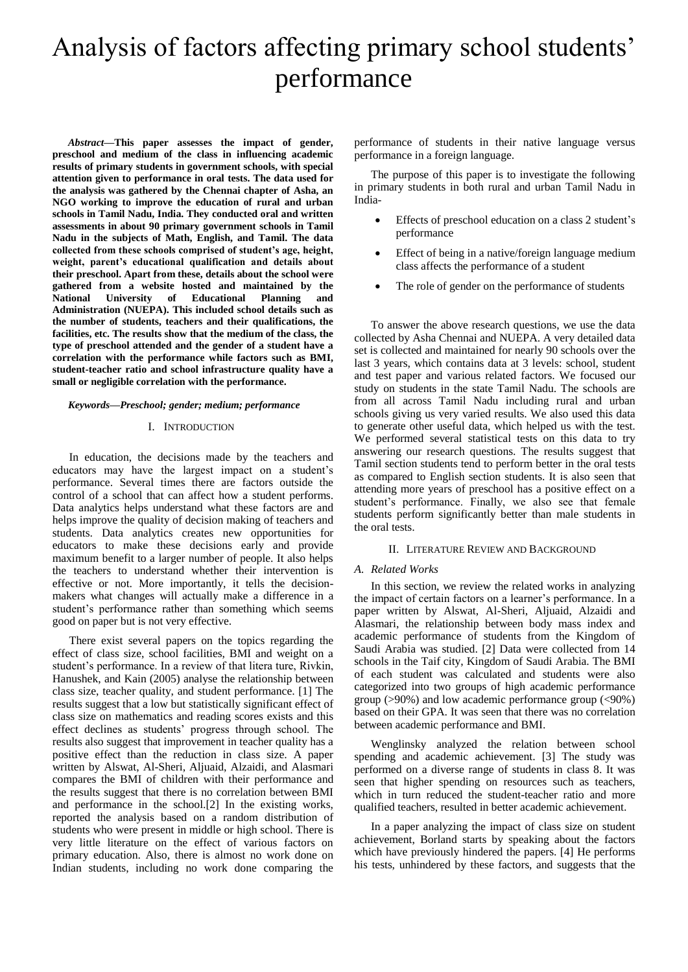# Analysis of factors affecting primary school students' performance

*Abstract***—This paper assesses the impact of gender, preschool and medium of the class in influencing academic results of primary students in government schools, with special attention given to performance in oral tests. The data used for the analysis was gathered by the Chennai chapter of Asha, an NGO working to improve the education of rural and urban schools in Tamil Nadu, India. They conducted oral and written assessments in about 90 primary government schools in Tamil Nadu in the subjects of Math, English, and Tamil. The data collected from these schools comprised of student's age, height, weight, parent's educational qualification and details about their preschool. Apart from these, details about the school were gathered from a website hosted and maintained by the National University of Educational Planning and Administration (NUEPA). This included school details such as the number of students, teachers and their qualifications, the facilities, etc. The results show that the medium of the class, the type of preschool attended and the gender of a student have a correlation with the performance while factors such as BMI, student-teacher ratio and school infrastructure quality have a small or negligible correlation with the performance.**

#### *Keywords—Preschool; gender; medium; performance*

#### I. INTRODUCTION

In education, the decisions made by the teachers and educators may have the largest impact on a student's performance. Several times there are factors outside the control of a school that can affect how a student performs. Data analytics helps understand what these factors are and helps improve the quality of decision making of teachers and students. Data analytics creates new opportunities for educators to make these decisions early and provide maximum benefit to a larger number of people. It also helps the teachers to understand whether their intervention is effective or not. More importantly, it tells the decisionmakers what changes will actually make a difference in a student's performance rather than something which seems good on paper but is not very effective.

There exist several papers on the topics regarding the effect of class size, school facilities, BMI and weight on a student's performance. In a review of that litera ture, Rivkin, Hanushek, and Kain (2005) analyse the relationship between class size, teacher quality, and student performance. [1] The results suggest that a low but statistically significant effect of class size on mathematics and reading scores exists and this effect declines as students' progress through school. The results also suggest that improvement in teacher quality has a positive effect than the reduction in class size. A paper written by Alswat, Al-Sheri, Aljuaid, Alzaidi, and Alasmari compares the BMI of children with their performance and the results suggest that there is no correlation between BMI and performance in the school.[2] In the existing works, reported the analysis based on a random distribution of students who were present in middle or high school. There is very little literature on the effect of various factors on primary education. Also, there is almost no work done on Indian students, including no work done comparing the

performance of students in their native language versus performance in a foreign language.

The purpose of this paper is to investigate the following in primary students in both rural and urban Tamil Nadu in India-

- Effects of preschool education on a class 2 student's performance
- Effect of being in a native/foreign language medium class affects the performance of a student
- The role of gender on the performance of students

To answer the above research questions, we use the data collected by Asha Chennai and NUEPA. A very detailed data set is collected and maintained for nearly 90 schools over the last 3 years, which contains data at 3 levels: school, student and test paper and various related factors. We focused our study on students in the state Tamil Nadu. The schools are from all across Tamil Nadu including rural and urban schools giving us very varied results. We also used this data to generate other useful data, which helped us with the test. We performed several statistical tests on this data to try answering our research questions. The results suggest that Tamil section students tend to perform better in the oral tests as compared to English section students. It is also seen that attending more years of preschool has a positive effect on a student's performance. Finally, we also see that female students perform significantly better than male students in the oral tests.

#### II. LITERATURE REVIEW AND BACKGROUND

#### *A. Related Works*

In this section, we review the related works in analyzing the impact of certain factors on a learner's performance. In a paper written by Alswat, Al-Sheri, Aljuaid, Alzaidi and Alasmari, the relationship between body mass index and academic performance of students from the Kingdom of Saudi Arabia was studied. [2] Data were collected from 14 schools in the Taif city, Kingdom of Saudi Arabia. The BMI of each student was calculated and students were also categorized into two groups of high academic performance group (>90%) and low academic performance group (<90%) based on their GPA. It was seen that there was no correlation between academic performance and BMI.

Wenglinsky analyzed the relation between school spending and academic achievement. [3] The study was performed on a diverse range of students in class 8. It was seen that higher spending on resources such as teachers, which in turn reduced the student-teacher ratio and more qualified teachers, resulted in better academic achievement.

In a paper analyzing the impact of class size on student achievement, Borland starts by speaking about the factors which have previously hindered the papers. [4] He performs his tests, unhindered by these factors, and suggests that the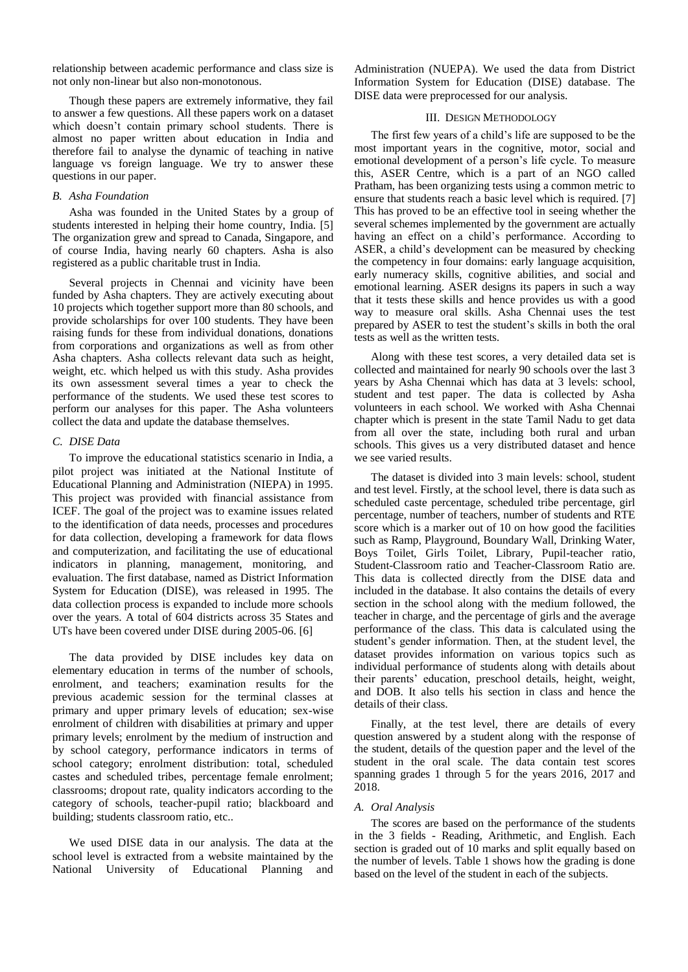relationship between academic performance and class size is not only non-linear but also non-monotonous.

Though these papers are extremely informative, they fail to answer a few questions. All these papers work on a dataset which doesn't contain primary school students. There is almost no paper written about education in India and therefore fail to analyse the dynamic of teaching in native language vs foreign language. We try to answer these questions in our paper.

### *B. Asha Foundation*

Asha was founded in the United States by a group of students interested in helping their home country, India. [5] The organization grew and spread to Canada, Singapore, and of course India, having nearly 60 chapters. Asha is also registered as a public charitable trust in India.

Several projects in Chennai and vicinity have been funded by Asha chapters. They are actively executing about 10 projects which together support more than 80 schools, and provide scholarships for over 100 students. They have been raising funds for these from individual donations, donations from corporations and organizations as well as from other Asha chapters. Asha collects relevant data such as height, weight, etc. which helped us with this study. Asha provides its own assessment several times a year to check the performance of the students. We used these test scores to perform our analyses for this paper. The Asha volunteers collect the data and update the database themselves.

#### *C. DISE Data*

To improve the educational statistics scenario in India, a pilot project was initiated at the National Institute of Educational Planning and Administration (NIEPA) in 1995. This project was provided with financial assistance from ICEF. The goal of the project was to examine issues related to the identification of data needs, processes and procedures for data collection, developing a framework for data flows and computerization, and facilitating the use of educational indicators in planning, management, monitoring, and evaluation. The first database, named as District Information System for Education (DISE), was released in 1995. The data collection process is expanded to include more schools over the years. A total of 604 districts across 35 States and UTs have been covered under DISE during 2005-06. [6]

The data provided by DISE includes key data on elementary education in terms of the number of schools, enrolment, and teachers; examination results for the previous academic session for the terminal classes at primary and upper primary levels of education; sex-wise enrolment of children with disabilities at primary and upper primary levels; enrolment by the medium of instruction and by school category, performance indicators in terms of school category; enrolment distribution: total, scheduled castes and scheduled tribes, percentage female enrolment; classrooms; dropout rate, quality indicators according to the category of schools, teacher-pupil ratio; blackboard and building; students classroom ratio, etc..

We used DISE data in our analysis. The data at the school level is extracted from a website maintained by the National University of Educational Planning and Administration (NUEPA). We used the data from District Information System for Education (DISE) database. The DISE data were preprocessed for our analysis.

#### III. DESIGN METHODOLOGY

The first few years of a child's life are supposed to be the most important years in the cognitive, motor, social and emotional development of a person's life cycle. To measure this, ASER Centre, which is a part of an NGO called Pratham, has been organizing tests using a common metric to ensure that students reach a basic level which is required. [7] This has proved to be an effective tool in seeing whether the several schemes implemented by the government are actually having an effect on a child's performance. According to ASER, a child's development can be measured by checking the competency in four domains: early language acquisition, early numeracy skills, cognitive abilities, and social and emotional learning. ASER designs its papers in such a way that it tests these skills and hence provides us with a good way to measure oral skills. Asha Chennai uses the test prepared by ASER to test the student's skills in both the oral tests as well as the written tests.

Along with these test scores, a very detailed data set is collected and maintained for nearly 90 schools over the last 3 years by Asha Chennai which has data at 3 levels: school, student and test paper. The data is collected by Asha volunteers in each school. We worked with Asha Chennai chapter which is present in the state Tamil Nadu to get data from all over the state, including both rural and urban schools. This gives us a very distributed dataset and hence we see varied results.

The dataset is divided into 3 main levels: school, student and test level. Firstly, at the school level, there is data such as scheduled caste percentage, scheduled tribe percentage, girl percentage, number of teachers, number of students and RTE score which is a marker out of 10 on how good the facilities such as Ramp, Playground, Boundary Wall, Drinking Water, Boys Toilet, Girls Toilet, Library, Pupil-teacher ratio, Student-Classroom ratio and Teacher-Classroom Ratio are. This data is collected directly from the DISE data and included in the database. It also contains the details of every section in the school along with the medium followed, the teacher in charge, and the percentage of girls and the average performance of the class. This data is calculated using the student's gender information. Then, at the student level, the dataset provides information on various topics such as individual performance of students along with details about their parents' education, preschool details, height, weight, and DOB. It also tells his section in class and hence the details of their class.

Finally, at the test level, there are details of every question answered by a student along with the response of the student, details of the question paper and the level of the student in the oral scale. The data contain test scores spanning grades 1 through 5 for the years 2016, 2017 and 2018.

#### *A. Oral Analysis*

The scores are based on the performance of the students in the 3 fields - Reading, Arithmetic, and English. Each section is graded out of 10 marks and split equally based on the number of levels. Table 1 shows how the grading is done based on the level of the student in each of the subjects.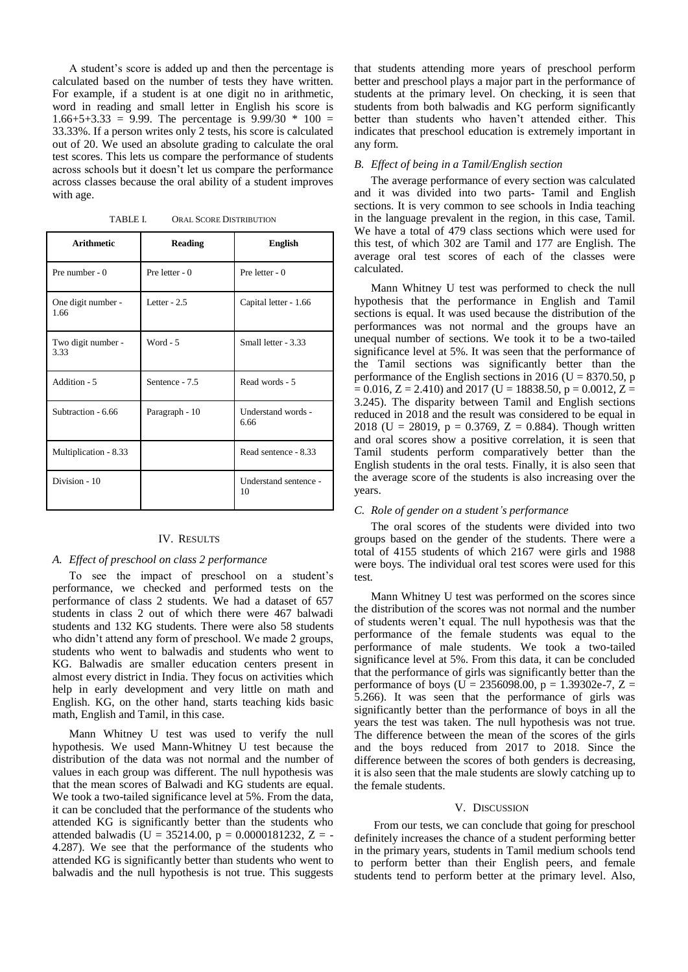A student's score is added up and then the percentage is calculated based on the number of tests they have written. For example, if a student is at one digit no in arithmetic, word in reading and small letter in English his score is  $1.66+5+3.33 = 9.99$ . The percentage is  $9.99/30 * 100 =$ 33.33%. If a person writes only 2 tests, his score is calculated out of 20. We used an absolute grading to calculate the oral test scores. This lets us compare the performance of students across schools but it doesn't let us compare the performance across classes because the oral ability of a student improves with age.

TABLE I. ORAL SCORE DISTRIBUTION

| <b>Arithmetic</b>          | <b>Reading</b>   | <b>English</b>              |
|----------------------------|------------------|-----------------------------|
| Pre number $-0$            | Pre letter - $0$ | Pre letter - $0$            |
| One digit number -<br>1.66 | Letter $-2.5$    | Capital letter - 1.66       |
| Two digit number -<br>3.33 | Word $-5$        | Small letter - 3.33         |
| Addition - 5               | Sentence - 7.5   | Read words - 5              |
| Subtraction - 6.66         | Paragraph - 10   | Understand words -<br>6.66  |
| Multiplication - 8.33      |                  | Read sentence - 8.33        |
| Division - 10              |                  | Understand sentence -<br>10 |

#### IV. RESULTS

#### *A. Effect of preschool on class 2 performance*

To see the impact of preschool on a student's performance, we checked and performed tests on the performance of class 2 students. We had a dataset of 657 students in class 2 out of which there were 467 balwadi students and 132 KG students. There were also 58 students who didn't attend any form of preschool. We made 2 groups, students who went to balwadis and students who went to KG. Balwadis are smaller education centers present in almost every district in India. They focus on activities which help in early development and very little on math and English. KG, on the other hand, starts teaching kids basic math, English and Tamil, in this case.

Mann Whitney U test was used to verify the null hypothesis. We used Mann-Whitney U test because the distribution of the data was not normal and the number of values in each group was different. The null hypothesis was that the mean scores of Balwadi and KG students are equal. We took a two-tailed significance level at 5%. From the data, it can be concluded that the performance of the students who attended KG is significantly better than the students who attended balwadis (U = 35214.00, p = 0.0000181232, Z = -4.287). We see that the performance of the students who attended KG is significantly better than students who went to balwadis and the null hypothesis is not true. This suggests

that students attending more years of preschool perform better and preschool plays a major part in the performance of students at the primary level. On checking, it is seen that students from both balwadis and KG perform significantly better than students who haven't attended either. This indicates that preschool education is extremely important in any form.

#### *B. Effect of being in a Tamil/English section*

The average performance of every section was calculated and it was divided into two parts- Tamil and English sections. It is very common to see schools in India teaching in the language prevalent in the region, in this case, Tamil. We have a total of 479 class sections which were used for this test, of which 302 are Tamil and 177 are English. The average oral test scores of each of the classes were calculated.

Mann Whitney U test was performed to check the null hypothesis that the performance in English and Tamil sections is equal. It was used because the distribution of the performances was not normal and the groups have an unequal number of sections. We took it to be a two-tailed significance level at 5%. It was seen that the performance of the Tamil sections was significantly better than the performance of the English sections in 2016 ( $U = 8370.50$ , p  $= 0.016$ , Z = 2.410) and 2017 (U = 18838.50, p = 0.0012, Z = 3.245). The disparity between Tamil and English sections reduced in 2018 and the result was considered to be equal in 2018 (U = 28019, p = 0.3769, Z = 0.884). Though written and oral scores show a positive correlation, it is seen that Tamil students perform comparatively better than the English students in the oral tests. Finally, it is also seen that the average score of the students is also increasing over the years.

## *C. Role of gender on a student's performance*

The oral scores of the students were divided into two groups based on the gender of the students. There were a total of 4155 students of which 2167 were girls and 1988 were boys. The individual oral test scores were used for this test.

Mann Whitney U test was performed on the scores since the distribution of the scores was not normal and the number of students weren't equal. The null hypothesis was that the performance of the female students was equal to the performance of male students. We took a two-tailed significance level at 5%. From this data, it can be concluded that the performance of girls was significantly better than the performance of boys (U = 2356098.00, p = 1.39302e-7, Z = 5.266). It was seen that the performance of girls was significantly better than the performance of boys in all the years the test was taken. The null hypothesis was not true. The difference between the mean of the scores of the girls and the boys reduced from 2017 to 2018. Since the difference between the scores of both genders is decreasing, it is also seen that the male students are slowly catching up to the female students.

#### V. DISCUSSION

From our tests, we can conclude that going for preschool definitely increases the chance of a student performing better in the primary years, students in Tamil medium schools tend to perform better than their English peers, and female students tend to perform better at the primary level. Also,